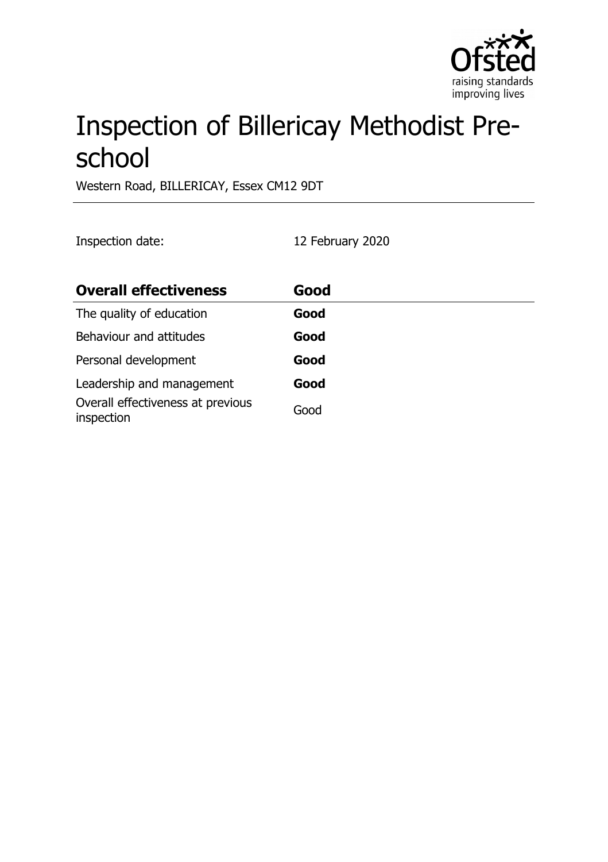

# Inspection of Billericay Methodist Preschool

Western Road, BILLERICAY, Essex CM12 9DT

Inspection date: 12 February 2020

| <b>Overall effectiveness</b>                    | Good |
|-------------------------------------------------|------|
| The quality of education                        | Good |
| Behaviour and attitudes                         | Good |
| Personal development                            | Good |
| Leadership and management                       | Good |
| Overall effectiveness at previous<br>inspection | Good |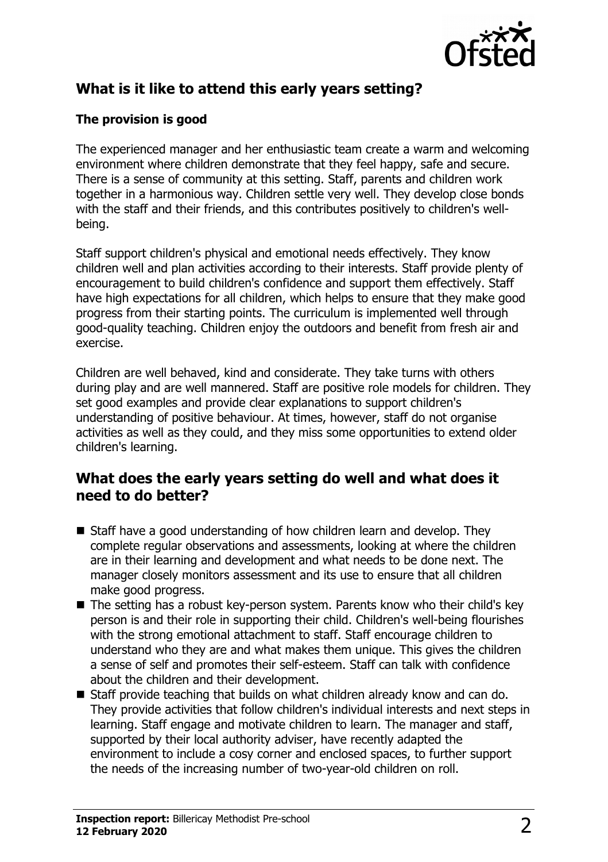

# **What is it like to attend this early years setting?**

#### **The provision is good**

The experienced manager and her enthusiastic team create a warm and welcoming environment where children demonstrate that they feel happy, safe and secure. There is a sense of community at this setting. Staff, parents and children work together in a harmonious way. Children settle very well. They develop close bonds with the staff and their friends, and this contributes positively to children's wellbeing.

Staff support children's physical and emotional needs effectively. They know children well and plan activities according to their interests. Staff provide plenty of encouragement to build children's confidence and support them effectively. Staff have high expectations for all children, which helps to ensure that they make good progress from their starting points. The curriculum is implemented well through good-quality teaching. Children enjoy the outdoors and benefit from fresh air and exercise.

Children are well behaved, kind and considerate. They take turns with others during play and are well mannered. Staff are positive role models for children. They set good examples and provide clear explanations to support children's understanding of positive behaviour. At times, however, staff do not organise activities as well as they could, and they miss some opportunities to extend older children's learning.

### **What does the early years setting do well and what does it need to do better?**

- $\blacksquare$  Staff have a good understanding of how children learn and develop. They complete regular observations and assessments, looking at where the children are in their learning and development and what needs to be done next. The manager closely monitors assessment and its use to ensure that all children make good progress.
- $\blacksquare$  The setting has a robust key-person system. Parents know who their child's key person is and their role in supporting their child. Children's well-being flourishes with the strong emotional attachment to staff. Staff encourage children to understand who they are and what makes them unique. This gives the children a sense of self and promotes their self-esteem. Staff can talk with confidence about the children and their development.
- Staff provide teaching that builds on what children already know and can do. They provide activities that follow children's individual interests and next steps in learning. Staff engage and motivate children to learn. The manager and staff, supported by their local authority adviser, have recently adapted the environment to include a cosy corner and enclosed spaces, to further support the needs of the increasing number of two-year-old children on roll.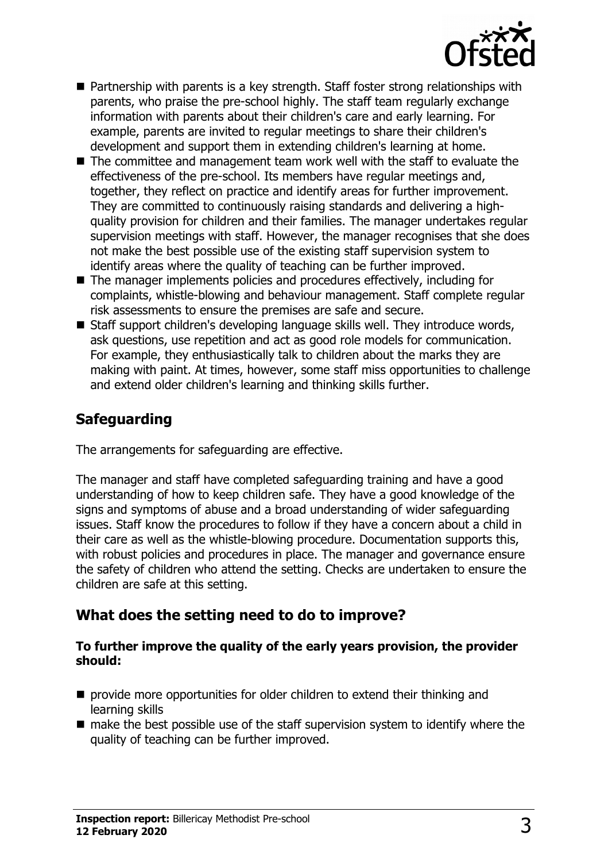

- $\blacksquare$  Partnership with parents is a key strength. Staff foster strong relationships with parents, who praise the pre-school highly. The staff team regularly exchange information with parents about their children's care and early learning. For example, parents are invited to regular meetings to share their children's development and support them in extending children's learning at home.
- $\blacksquare$  The committee and management team work well with the staff to evaluate the effectiveness of the pre-school. Its members have regular meetings and, together, they reflect on practice and identify areas for further improvement. They are committed to continuously raising standards and delivering a highquality provision for children and their families. The manager undertakes regular supervision meetings with staff. However, the manager recognises that she does not make the best possible use of the existing staff supervision system to identify areas where the quality of teaching can be further improved.
- $\blacksquare$  The manager implements policies and procedures effectively, including for complaints, whistle-blowing and behaviour management. Staff complete regular risk assessments to ensure the premises are safe and secure.
- $\blacksquare$  Staff support children's developing language skills well. They introduce words, ask questions, use repetition and act as good role models for communication. For example, they enthusiastically talk to children about the marks they are making with paint. At times, however, some staff miss opportunities to challenge and extend older children's learning and thinking skills further.

# **Safeguarding**

The arrangements for safeguarding are effective.

The manager and staff have completed safeguarding training and have a good understanding of how to keep children safe. They have a good knowledge of the signs and symptoms of abuse and a broad understanding of wider safeguarding issues. Staff know the procedures to follow if they have a concern about a child in their care as well as the whistle-blowing procedure. Documentation supports this, with robust policies and procedures in place. The manager and governance ensure the safety of children who attend the setting. Checks are undertaken to ensure the children are safe at this setting.

# **What does the setting need to do to improve?**

#### **To further improve the quality of the early years provision, the provider should:**

- $\blacksquare$  provide more opportunities for older children to extend their thinking and learning skills
- $\blacksquare$  make the best possible use of the staff supervision system to identify where the quality of teaching can be further improved.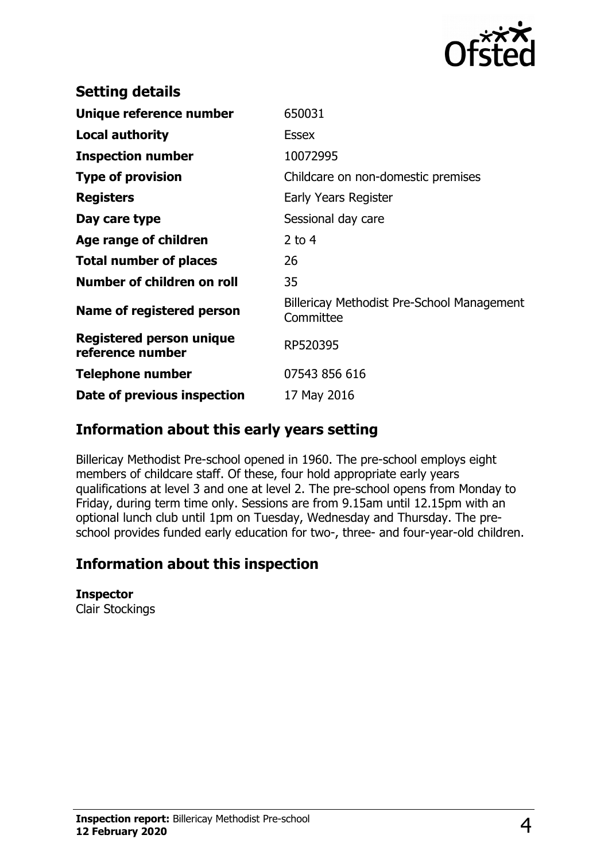

| <b>Setting details</b>                       |                                                         |
|----------------------------------------------|---------------------------------------------------------|
| Unique reference number                      | 650031                                                  |
| <b>Local authority</b>                       | <b>Essex</b>                                            |
| <b>Inspection number</b>                     | 10072995                                                |
| <b>Type of provision</b>                     | Childcare on non-domestic premises                      |
| <b>Registers</b>                             | Early Years Register                                    |
| Day care type                                | Sessional day care                                      |
| Age range of children                        | $2$ to 4                                                |
| <b>Total number of places</b>                | 26                                                      |
| Number of children on roll                   | 35                                                      |
| Name of registered person                    | Billericay Methodist Pre-School Management<br>Committee |
| Registered person unique<br>reference number | RP520395                                                |
| <b>Telephone number</b>                      | 07543 856 616                                           |
| Date of previous inspection                  | 17 May 2016                                             |

## **Information about this early years setting**

Billericay Methodist Pre-school opened in 1960. The pre-school employs eight members of childcare staff. Of these, four hold appropriate early years qualifications at level 3 and one at level 2. The pre-school opens from Monday to Friday, during term time only. Sessions are from 9.15am until 12.15pm with an optional lunch club until 1pm on Tuesday, Wednesday and Thursday. The preschool provides funded early education for two-, three- and four-year-old children.

## **Information about this inspection**

**Inspector** Clair Stockings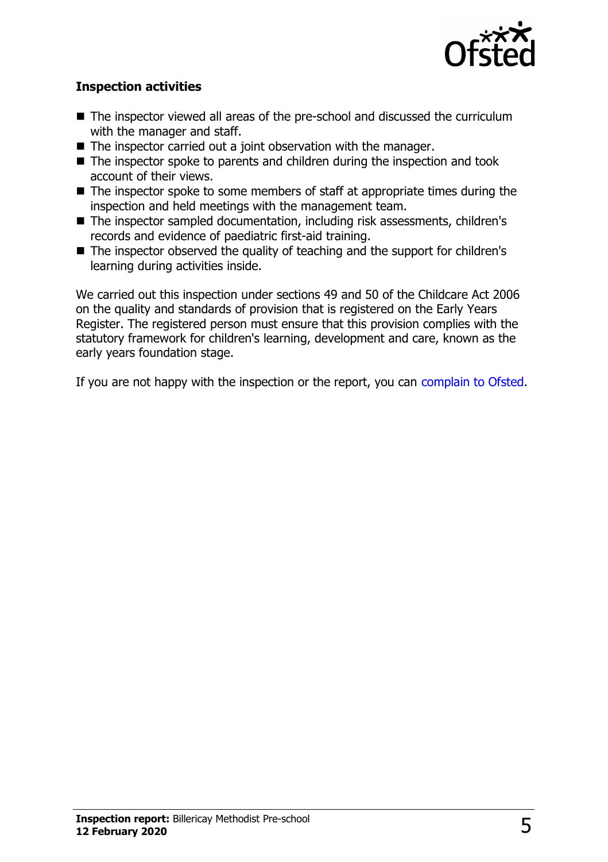

#### **Inspection activities**

- $\blacksquare$  The inspector viewed all areas of the pre-school and discussed the curriculum with the manager and staff.
- $\blacksquare$  The inspector carried out a joint observation with the manager.
- $\blacksquare$  The inspector spoke to parents and children during the inspection and took account of their views.
- $\blacksquare$  The inspector spoke to some members of staff at appropriate times during the inspection and held meetings with the management team.
- The inspector sampled documentation, including risk assessments, children's records and evidence of paediatric first-aid training.
- $\blacksquare$  The inspector observed the quality of teaching and the support for children's learning during activities inside.

We carried out this inspection under sections 49 and 50 of the Childcare Act 2006 on the quality and standards of provision that is registered on the Early Years Register. The registered person must ensure that this provision complies with the statutory framework for children's learning, development and care, known as the early years foundation stage.

If you are not happy with the inspection or the report, you can [complain to Ofsted.](http://www.gov.uk/complain-ofsted-report)